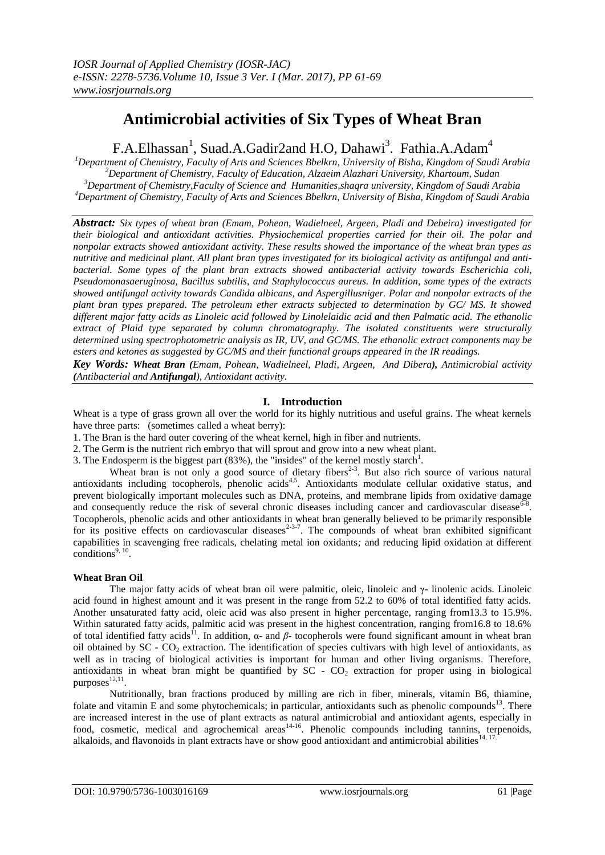# **Antimicrobial activities of Six Types of Wheat Bran**

F.A.Elhassan<sup>1</sup>, Suad.A.Gadir2and H.O, Dahawi<sup>3</sup>. Fathia.A.Adam<sup>4</sup>

*Department of Chemistry, Faculty of Arts and Sciences Bbelkrn, University of Bisha, Kingdom of Saudi Arabia Department of Chemistry, Faculty of Education, Alzaeim Alazhari University, Khartoum, Sudan Department of Chemistry,Faculty of Science and Humanities,shaqra university, Kingdom of Saudi Arabia Department of Chemistry, Faculty of Arts and Sciences Bbelkrn, University of Bisha, Kingdom of Saudi Arabia*

*Abstract: Six types of wheat bran (Emam, Pohean, Wadielneel, Argeen, Pladi and Debeira) investigated for their biological and antioxidant activities. Physiochemical properties carried for their oil. The polar and nonpolar extracts showed antioxidant activity. These results showed the importance of the wheat bran types as nutritive and medicinal plant. All plant bran types investigated for its biological activity as antifungal and antibacterial. Some types of the plant bran extracts showed antibacterial activity towards Escherichia coli, Pseudomonasaeruginosa, Bacillus subtilis, and Staphylococcus aureus. In addition, some types of the extracts showed antifungal activity towards Candida albicans, and Aspergillusniger. Polar and nonpolar extracts of the plant bran types prepared. The petroleum ether extracts subjected to determination by GC/ MS. It showed different major fatty acids as Linoleic acid followed by Linolelaidic acid and then Palmatic acid. The ethanolic extract of Plaid type separated by column chromatography. The isolated constituents were structurally determined using spectrophotometric analysis as IR, UV, and GC/MS. The ethanolic extract components may be esters and ketones as suggested by GC/MS and their functional groups appeared in the IR readings.*

*Key Words: Wheat Bran (Emam, Pohean, Wadielneel, Pladi, Argeen, And Dibera), Antimicrobial activity (Antibacterial and Antifungal), Antioxidant activity.*

# **I. Introduction**

Wheat is a type of grass grown all over the world for its highly nutritious and useful grains. The wheat kernels have three parts: (sometimes called a wheat berry):

- 1. The Bran is the hard outer covering of the wheat kernel, high in fiber and nutrients.
- 2. The Germ is the nutrient rich embryo that will sprout and grow into a new wheat plant.
- 3. The Endosperm is the biggest part  $(83\%)$ , the "insides" of the kernel mostly starch<sup>1</sup>.

Wheat bran is not only a good source of dietary fibers<sup>2-3</sup>. But also rich source of various natural antioxidants including tocopherols, phenolic acids<sup>4,5</sup>. Antioxidants modulate cellular oxidative status, and prevent biologically important molecules such as DNA, proteins, and membrane lipids from oxidative damage and consequently reduce the risk of several chronic diseases including cancer and cardiovascular disease  $6-8$ . Tocopherols, phenolic acids and other antioxidants in wheat bran generally believed to be primarily responsible for its positive effects on cardiovascular diseases<sup>2-3-7</sup>. The compounds of wheat bran exhibited significant capabilities in scavenging free radicals, chelating metal ion oxidants*;* and reducing lipid oxidation at different conditions $9, 10$ .

### **Wheat Bran Oil**

The major fatty acids of wheat bran oil were palmitic, oleic, linoleic and  $\gamma$ - linolenic acids. Linoleic acid found in highest amount and it was present in the range from 52.2 to 60% of total identified fatty acids. Another unsaturated fatty acid, oleic acid was also present in higher percentage, ranging from13.3 to 15.9%. Within saturated fatty acids, palmitic acid was present in the highest concentration, ranging from16.8 to 18.6% of total identified fatty acids<sup>11</sup>. In addition,  $\alpha$ - and  $\beta$ - tocopherols were found significant amount in wheat bran oil obtained by SC - CO<sub>2</sub> extraction. The identification of species cultivars with high level of antioxidants, as well as in tracing of biological activities is important for human and other living organisms. Therefore, antioxidants in wheat bran might be quantified by  $SC - CO<sub>2</sub>$  extraction for proper using in biological purposes $^{12,11}$ .

Nutritionally, bran fractions produced by milling are rich in fiber, minerals, vitamin B6, thiamine, folate and vitamin E and some phytochemicals; in particular, antioxidants such as phenolic compounds<sup>13</sup>. There are increased interest in the use of plant extracts as natural antimicrobial and antioxidant agents, especially in food, cosmetic, medical and agrochemical areas<sup>14-16</sup>. Phenolic compounds including tannins, terpenoids, alkaloids, and flavonoids in plant extracts have or show good antioxidant and antimicrobial abilities<sup>14, 17</sup>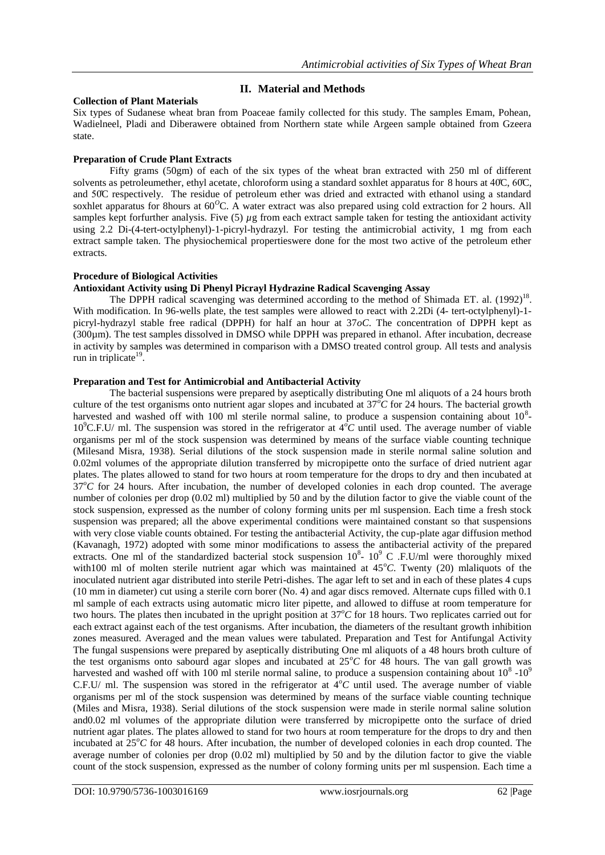# **II. Material and Methods**

### **Collection of Plant Materials**

Six types of Sudanese wheat bran from Poaceae family collected for this study. The samples Emam, Pohean, Wadielneel, Pladi and Diberawere obtained from Northern state while Argeen sample obtained from Gzeera state.

#### **Preparation of Crude Plant Extracts**

Fifty grams (50gm) of each of the six types of the wheat bran extracted with 250 ml of different solvents as petroleumether, ethyl acetate, chloroform using a standard soxhlet apparatus for 8 hours at 40̊C, 60̊C, and 50̊C respectively. The residue of petroleum ether was dried and extracted with ethanol using a standard soxhlet apparatus for 8hours at 60<sup>o</sup>C. A water extract was also prepared using cold extraction for 2 hours. All samples kept forfurther analysis. Five (5)  $\mu$ g from each extract sample taken for testing the antioxidant activity using 2.2 Di-(4-tert-octylphenyl)-1-picryl-hydrazyl. For testing the antimicrobial activity, 1 mg from each extract sample taken. The physiochemical propertieswere done for the most two active of the petroleum ether extracts.

#### **Procedure of Biological Activities**

### **Antioxidant Activity using Di Phenyl Picrayl Hydrazine Radical Scavenging Assay**

The DPPH radical scavenging was determined according to the method of Shimada ET. al. (1992)<sup>18</sup>. With modification. In 96-wells plate, the test samples were allowed to react with 2.2Di (4- tert-octylphenyl)-1picryl-hydrazyl stable free radical (DPPH) for half an hour at 37*oC*. The concentration of DPPH kept as (300µm). The test samples dissolved in DMSO while DPPH was prepared in ethanol. After incubation, decrease in activity by samples was determined in comparison with a DMSO treated control group. All tests and analysis run in triplicate<sup>19</sup>.

#### **Preparation and Test for Antimicrobial and Antibacterial Activity**

The bacterial suspensions were prepared by aseptically distributing One ml aliquots of a 24 hours broth culture of the test organisms onto nutrient agar slopes and incubated at  $37^{\circ}$ C for 24 hours. The bacterial growth harvested and washed off with 100 ml sterile normal saline, to produce a suspension containing about  $10<sup>8</sup>$ 10<sup>9</sup>C.F.U/ ml. The suspension was stored in the refrigerator at  $4^{\circ}C$  until used. The average number of viable organisms per ml of the stock suspension was determined by means of the surface viable counting technique (Milesand Misra, 1938). Serial dilutions of the stock suspension made in sterile normal saline solution and 0.02ml volumes of the appropriate dilution transferred by micropipette onto the surface of dried nutrient agar plates. The plates allowed to stand for two hours at room temperature for the drops to dry and then incubated at 37<sup>o</sup>C for 24 hours. After incubation, the number of developed colonies in each drop counted. The average number of colonies per drop (0.02 ml) multiplied by 50 and by the dilution factor to give the viable count of the stock suspension, expressed as the number of colony forming units per ml suspension. Each time a fresh stock suspension was prepared; all the above experimental conditions were maintained constant so that suspensions with very close viable counts obtained. For testing the antibacterial Activity, the cup-plate agar diffusion method (Kavanagh, 1972) adopted with some minor modifications to assess the antibacterial activity of the prepared extracts. One ml of the standardized bacterial stock suspension  $10^8$ -  $10^9$  C .F.U/ml were thoroughly mixed with100 ml of molten sterile nutrient agar which was maintained at 45<sup>o</sup>C. Twenty (20) mlaliquots of the inoculated nutrient agar distributed into sterile Petri-dishes. The agar left to set and in each of these plates 4 cups (10 mm in diameter) cut using a sterile corn borer (No. 4) and agar discs removed. Alternate cups filled with 0.1 ml sample of each extracts using automatic micro liter pipette, and allowed to diffuse at room temperature for two hours. The plates then incubated in the upright position at  $37^{\circ}C$  for 18 hours. Two replicates carried out for each extract against each of the test organisms. After incubation, the diameters of the resultant growth inhibition zones measured. Averaged and the mean values were tabulated. Preparation and Test for Antifungal Activity The fungal suspensions were prepared by aseptically distributing One ml aliquots of a 48 hours broth culture of the test organisms onto sabourd agar slopes and incubated at  $25^{\circ}C$  for 48 hours. The van gall growth was harvested and washed off with 100 ml sterile normal saline, to produce a suspension containing about  $10^8$  - $10^9$ C.F.U/ ml. The suspension was stored in the refrigerator at  $4^{o}C$  until used. The average number of viable organisms per ml of the stock suspension was determined by means of the surface viable counting technique (Miles and Misra, 1938). Serial dilutions of the stock suspension were made in sterile normal saline solution and0.02 ml volumes of the appropriate dilution were transferred by micropipette onto the surface of dried nutrient agar plates. The plates allowed to stand for two hours at room temperature for the drops to dry and then incubated at 25<sup>*o*</sup>C for 48 hours. After incubation, the number of developed colonies in each drop counted. The average number of colonies per drop (0.02 ml) multiplied by 50 and by the dilution factor to give the viable count of the stock suspension, expressed as the number of colony forming units per ml suspension. Each time a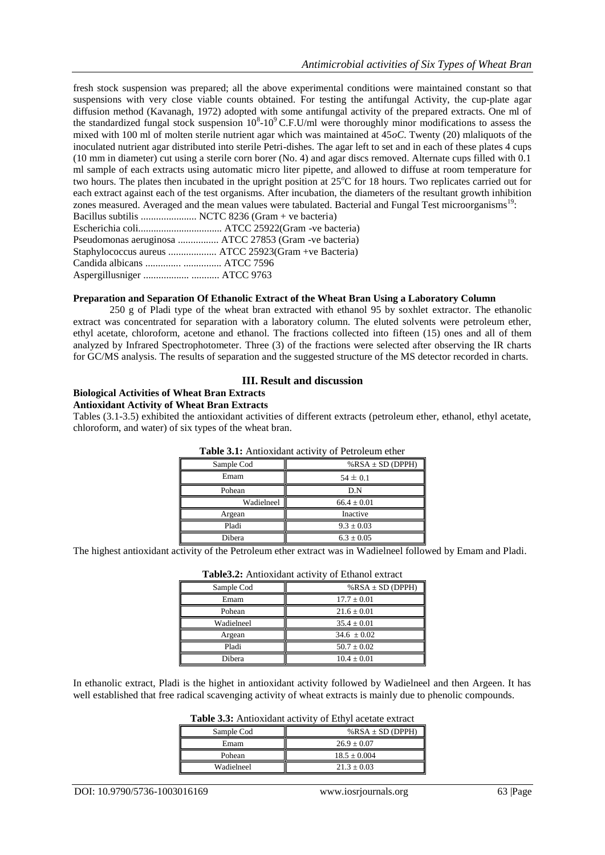fresh stock suspension was prepared; all the above experimental conditions were maintained constant so that suspensions with very close viable counts obtained. For testing the antifungal Activity, the cup-plate agar diffusion method (Kavanagh, 1972) adopted with some antifungal activity of the prepared extracts. One ml of the standardized fungal stock suspension  $10^8$ - $10^9$  C.F.U/ml were thoroughly minor modifications to assess the mixed with 100 ml of molten sterile nutrient agar which was maintained at 45*oC*. Twenty (20) mlaliquots of the inoculated nutrient agar distributed into sterile Petri-dishes. The agar left to set and in each of these plates 4 cups (10 mm in diameter) cut using a sterile corn borer (No. 4) and agar discs removed. Alternate cups filled with 0.1 ml sample of each extracts using automatic micro liter pipette, and allowed to diffuse at room temperature for two hours. The plates then incubated in the upright position at 25<sup>o</sup>C for 18 hours. Two replicates carried out for each extract against each of the test organisms. After incubation, the diameters of the resultant growth inhibition zones measured. Averaged and the mean values were tabulated. Bacterial and Fungal Test microorganisms<sup>19</sup>: Bacillus subtilis ...................... NCTC 8236 (Gram + ve bacteria) Escherichia coli................................. ATCC 25922(Gram -ve bacteria) Pseudomonas aeruginosa ................ ATCC 27853 (Gram -ve bacteria) Staphylococcus aureus ................... ATCC 25923(Gram +ve Bacteria) Candida albicans .............. ............... ATCC 7596

Aspergillusniger .................. ........... ATCC 9763

#### **Preparation and Separation Of Ethanolic Extract of the Wheat Bran Using a Laboratory Column**

250 g of Pladi type of the wheat bran extracted with ethanol 95 by soxhlet extractor. The ethanolic extract was concentrated for separation with a laboratory column. The eluted solvents were petroleum ether, ethyl acetate, chloroform, acetone and ethanol. The fractions collected into fifteen (15) ones and all of them analyzed by Infrared Spectrophotometer. Three (3) of the fractions were selected after observing the IR charts for GC/MS analysis. The results of separation and the suggested structure of the MS detector recorded in charts.

### **III. Result and discussion**

#### **Biological Activities of Wheat Bran Extracts Antioxidant Activity of Wheat Bran Extracts**

Tables (3.1-3.5) exhibited the antioxidant activities of different extracts (petroleum ether, ethanol, ethyl acetate, chloroform, and water) of six types of the wheat bran.

| <b>Tuble only</b> Thilloxique activity of I choicalli cliffi |                         |  |  |  |
|--------------------------------------------------------------|-------------------------|--|--|--|
| Sample Cod                                                   | $%$ RSA $\pm$ SD (DPPH) |  |  |  |
| Emam                                                         | $54 \pm 0.1$            |  |  |  |
| Pohean                                                       | D.N                     |  |  |  |
| Wadielneel                                                   | $66.4 \pm 0.01$         |  |  |  |
| Argean                                                       | Inactive                |  |  |  |
| Pladi                                                        | $9.3 \pm 0.03$          |  |  |  |
| Dibera                                                       | $6.3 \pm 0.05$          |  |  |  |

#### **Table 3.1:** Antioxidant activity of Petroleum ether

The highest antioxidant activity of the Petroleum ether extract was in Wadielneel followed by Emam and Pladi.

|            | <b>Tables.2.</b> Alluoxidant activity of Ethanol extract |
|------------|----------------------------------------------------------|
| Sample Cod | $%$ RSA $\pm$ SD (DPPH)                                  |
| Emam       | $17.7 \pm 0.01$                                          |
| Pohean     | $21.6 \pm 0.01$                                          |
| Wadielneel | $35.4 \pm 0.01$                                          |
| Argean     | $34.6 \pm 0.02$                                          |
| Pladi      | $50.7 \pm 0.02$                                          |
| Dibera     | $10.4 \pm 0.01$                                          |

**Table3.2:** Antioxidant activity of Ethanol extract

In ethanolic extract, Pladi is the highet in antioxidant activity followed by Wadielneel and then Argeen. It has well established that free radical scavenging activity of wheat extracts is mainly due to phenolic compounds.

| Sample Cod | $%$ RSA $\pm$ SD (DPPH) |
|------------|-------------------------|
| Emam       | $26.9 + 0.07$           |
| Pohean     | $18.5 + 0.004$          |
| Wadielneel | $21.3 + 0.03$           |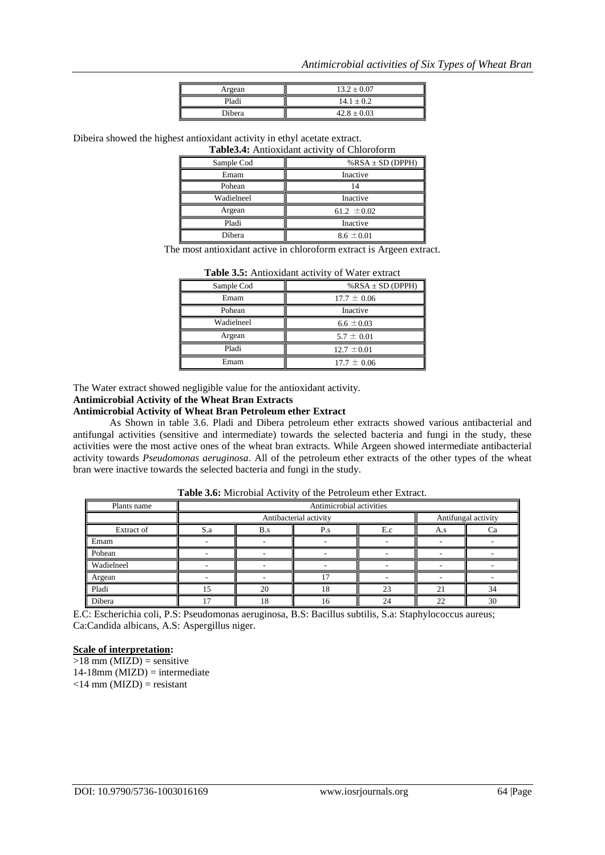| Argean | $13.2 \pm 0.07$ |
|--------|-----------------|
| Pladi  | $14.1 \pm 0.2$  |
| Dibera | $42.8 \pm 0.03$ |

Dibeira showed the highest antioxidant activity in ethyl acetate extract.

| Table 3.4: Antioxidant activity of Chloroform |                       |  |  |  |
|-----------------------------------------------|-----------------------|--|--|--|
| Sample Cod                                    | % $RSA \pm SD$ (DPPH) |  |  |  |
| Emam                                          | Inactive              |  |  |  |
| Pohean                                        |                       |  |  |  |
| Wadielneel                                    | Inactive              |  |  |  |
| Argean                                        | 61.2 $\pm 0.02$       |  |  |  |
| Pladi                                         | Inactive              |  |  |  |
| Dibera                                        | $8.6 \pm 0.01$        |  |  |  |

The most antioxidant active in chloroform extract is Argeen extract.

| Sample Cod | $%$ RSA $\pm$ SD (DPPH) |
|------------|-------------------------|
| Emam       | $17.7 \pm 0.06$         |
| Pohean     | Inactive                |
| Wadielneel | $6.6 \pm 0.03$          |
| Argean     | $5.7 \pm 0.01$          |
| Pladi      | $12.7 \pm 0.01$         |
| Emam       | $17.7 \pm 0.06$         |
|            |                         |

**Table 3.5:** Antioxidant activity of Water extract

The Water extract showed negligible value for the antioxidant activity.

#### **Antimicrobial Activity of the Wheat Bran Extracts**

#### **Antimicrobial Activity of Wheat Bran Petroleum ether Extract**

As Shown in table 3.6. Pladi and Dibera petroleum ether extracts showed various antibacterial and antifungal activities (sensitive and intermediate) towards the selected bacteria and fungi in the study, these activities were the most active ones of the wheat bran extracts. While Argeen showed intermediate antibacterial activity towards *Pseudomonas aeruginosa*. All of the petroleum ether extracts of the other types of the wheat bran were inactive towards the selected bacteria and fungi in the study.

| Plants name | Antimicrobial activities |                                               |     |     |           |    |
|-------------|--------------------------|-----------------------------------------------|-----|-----|-----------|----|
|             |                          | Antifungal activity<br>Antibacterial activity |     |     |           |    |
| Extract of  | S.a                      | B.s                                           | P.s | E.c | A.s       | Cа |
| Emam        |                          |                                               |     |     |           |    |
| Pohean      |                          |                                               |     |     |           |    |
| Wadielneel  |                          |                                               |     |     |           |    |
| Argean      |                          |                                               |     |     |           |    |
| Pladi       |                          | 20                                            | 18  | 23  | $\bigcap$ | 34 |
| Dibera      |                          |                                               | Iб  | 24  | 22        | 30 |

**Table 3.6:** Microbial Activity of the Petroleum ether Extract.

E.C: Escherichia coli, P.S: Pseudomonas aeruginosa, B.S: Bacillus subtilis, S.a: Staphylococcus aureus; Ca:Candida albicans, A.S: Aspergillus niger.

#### **Scale of interpretation:**

 $>18$  mm (MIZD) = sensitive  $14-18$ mm (MIZD) = intermediate  $\langle$ 14 mm (MIZD) = resistant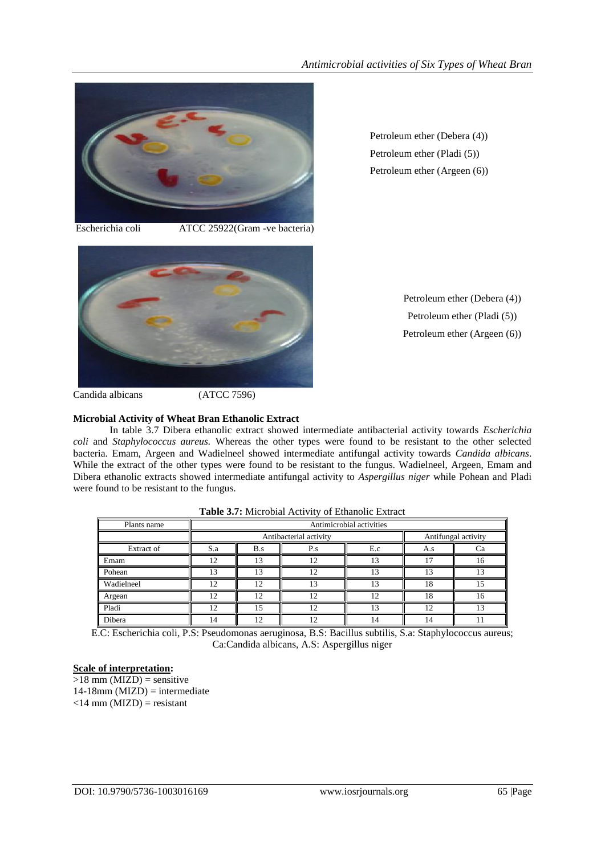

Petroleum ether (Debera (4)) Petroleum ether (Pladi (5)) Petroleum ether (Argeen (6))

Escherichia coli ATCC 25922(Gram *-*ve bacteria)



Candida albicans (ATCC 7596)

### **Microbial Activity of Wheat Bran Ethanolic Extract**

In table 3.7 Dibera ethanolic extract showed intermediate antibacterial activity towards *Escherichia coli* and *Staphylococcus aureus.* Whereas the other types were found to be resistant to the other selected bacteria. Emam, Argeen and Wadielneel showed intermediate antifungal activity towards *Candida albicans*. While the extract of the other types were found to be resistant to the fungus. Wadielneel, Argeen, Emam and Dibera ethanolic extracts showed intermediate antifungal activity to *Aspergillus niger* while Pohean and Pladi were found to be resistant to the fungus.

| Plants name | Antimicrobial activities |                        |     |                     |    |    |
|-------------|--------------------------|------------------------|-----|---------------------|----|----|
|             |                          | Antibacterial activity |     | Antifungal activity |    |    |
| Extract of  | S.a                      | B.s                    | A.s | Ωà                  |    |    |
| Emam        | 12                       | 13                     | 1 າ |                     |    | 16 |
| Pohean      |                          | 13                     | 12  |                     |    |    |
| Wadielneel  | 12                       | ר ו                    | 13  |                     | 18 |    |
| Argean      | 12                       | '2                     | 12  | 1 າ                 | 18 | 16 |
| Pladi       | $\overline{1}$           |                        | 12  | 13                  | 12 |    |
| Dibera      |                          |                        |     |                     | 14 |    |

| Table 3.7: Microbial Activity of Ethanolic Extract |  |
|----------------------------------------------------|--|
|----------------------------------------------------|--|

E.C: Escherichia coli, P.S: Pseudomonas aeruginosa, B.S: Bacillus subtilis, S.a: Staphylococcus aureus; Ca:Candida albicans, A.S: Aspergillus niger

## **Scale of interpretation:**

 $>18$  mm (MIZD) = sensitive  $14-18$ mm (MIZD) = intermediate  $<$ 14 mm (MIZD) = resistant

Petroleum ether (Debera (4)) Petroleum ether (Pladi (5)) Petroleum ether (Argeen (6))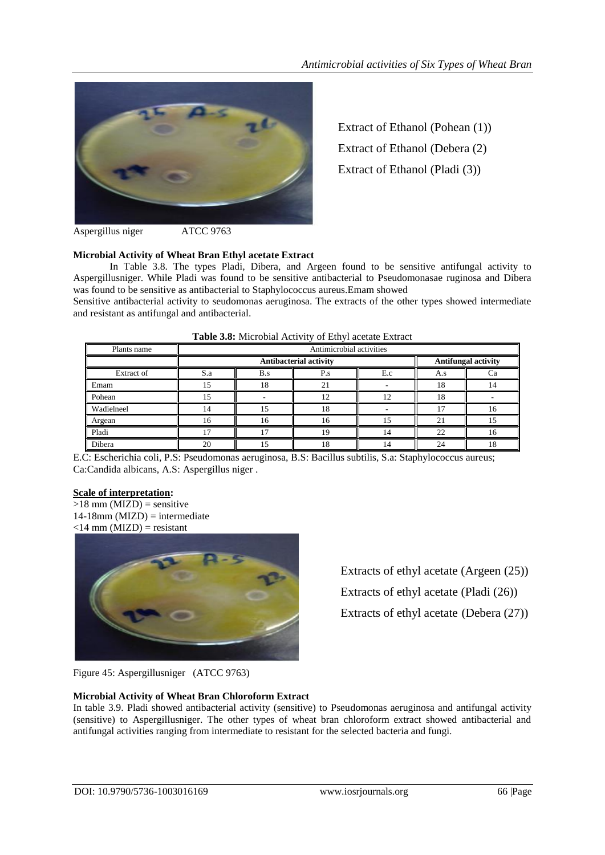

Extract of Ethanol (Pohean (1)) Extract of Ethanol (Debera (2) Extract of Ethanol (Pladi (3))

Aspergillus niger ATCC 9763

# **Microbial Activity of Wheat Bran Ethyl acetate Extract**

In Table 3.8. The types Pladi, Dibera, and Argeen found to be sensitive antifungal activity to Aspergillusniger. While Pladi was found to be sensitive antibacterial to Pseudomonasae ruginosa and Dibera was found to be sensitive as antibacterial to Staphylococcus aureus.Emam showed

Sensitive antibacterial activity to seudomonas aeruginosa. The extracts of the other types showed intermediate and resistant as antifungal and antibacterial.

| Plants name | Antimicrobial activities |                               |  |    |    |                            |  |
|-------------|--------------------------|-------------------------------|--|----|----|----------------------------|--|
|             |                          | <b>Antibacterial activity</b> |  |    |    | <b>Antifungal activity</b> |  |
| Extract of  | S.a                      | E.c<br>B.s                    |  |    |    |                            |  |
| Emam        |                          |                               |  |    |    |                            |  |
| Pohean      |                          |                               |  |    |    |                            |  |
| Wadielneel  |                          |                               |  |    |    | 16                         |  |
| Argean      |                          |                               |  |    |    |                            |  |
| Pladi       |                          |                               |  | 14 | 22 | 16                         |  |
| Dibera      | 20                       |                               |  | 14 | 24 | 18                         |  |

#### **Table 3.8:** Microbial Activity of Ethyl acetate Extract

E.C: Escherichia coli, P.S: Pseudomonas aeruginosa, B.S: Bacillus subtilis, S.a: Staphylococcus aureus; Ca:Candida albicans, A.S: Aspergillus niger .

### **Scale of interpretation:**

 $>18$  mm (MIZD) = sensitive  $14-18$ mm (MIZD) = intermediate  $\langle$ 14 mm (MIZD) = resistant



Extracts of ethyl acetate (Argeen (25)) Extracts of ethyl acetate (Pladi (26)) Extracts of ethyl acetate (Debera (27))

Figure 45: Aspergillusniger (ATCC 9763)

### **Microbial Activity of Wheat Bran Chloroform Extract**

In table 3.9. Pladi showed antibacterial activity (sensitive) to Pseudomonas aeruginosa and antifungal activity (sensitive) to Aspergillusniger. The other types of wheat bran chloroform extract showed antibacterial and antifungal activities ranging from intermediate to resistant for the selected bacteria and fungi.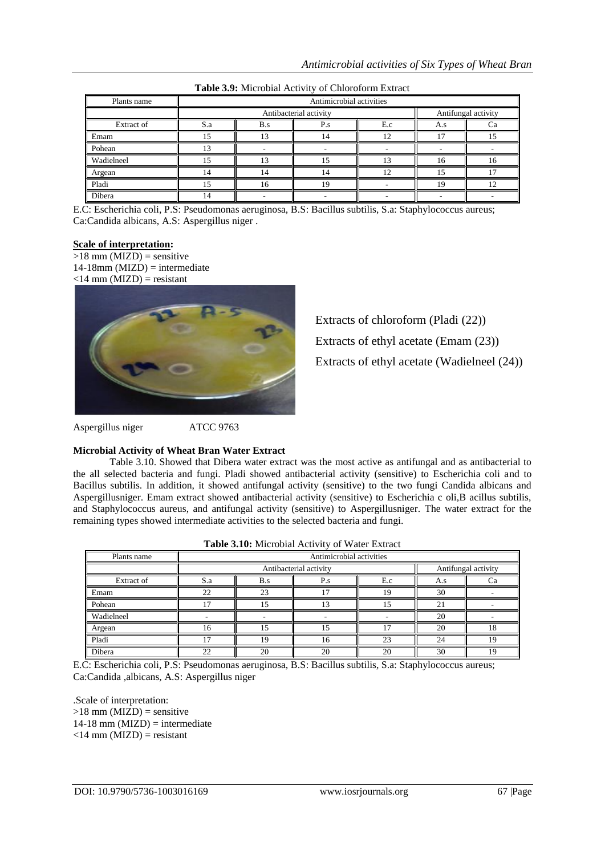| Plants name | Antimicrobial activities |                        |     |  |    |                     |  |
|-------------|--------------------------|------------------------|-----|--|----|---------------------|--|
|             |                          | Antibacterial activity |     |  |    | Antifungal activity |  |
| Extract of  | S.a                      | B.s                    | A.s |  |    |                     |  |
| Emam        |                          |                        |     |  |    |                     |  |
| Pohean      |                          |                        |     |  |    |                     |  |
| Wadielneel  |                          |                        |     |  | 16 | 16                  |  |
| Argean      |                          |                        |     |  |    |                     |  |
| Pladi       |                          |                        |     |  |    |                     |  |
| Dibera      |                          |                        |     |  |    |                     |  |

**Table 3.9:** Microbial Activity of Chloroform Extract

E.C: Escherichia coli, P.S: Pseudomonas aeruginosa, B.S: Bacillus subtilis, S.a: Staphylococcus aureus; Ca:Candida albicans, A.S: Aspergillus niger .

### **Scale of interpretation:**

 $>18$  mm (MIZD) = sensitive  $14-18$ mm (MIZD) = intermediate  $\langle 14 \text{ mm} \cdot \text{MIZD} \rangle$  = resistant

Extracts of chloroform (Pladi (22)) Extracts of ethyl acetate (Emam (23)) Extracts of ethyl acetate (Wadielneel (24))

Aspergillus niger ATCC 9763

#### **Microbial Activity of Wheat Bran Water Extract**

Table 3.10. Showed that Dibera water extract was the most active as antifungal and as antibacterial to the all selected bacteria and fungi. Pladi showed antibacterial activity (sensitive) to Escherichia coli and to Bacillus subtilis. In addition, it showed antifungal activity (sensitive) to the two fungi Candida albicans and Aspergillusniger. Emam extract showed antibacterial activity (sensitive) to Escherichia c oli,B acillus subtilis, and Staphylococcus aureus, and antifungal activity (sensitive) to Aspergillusniger. The water extract for the remaining types showed intermediate activities to the selected bacteria and fungi.

| <b>Table 3.10:</b> Microbial Activity of Water Extract |                          |     |             |                          |                     |    |
|--------------------------------------------------------|--------------------------|-----|-------------|--------------------------|---------------------|----|
| Plants name                                            | Antimicrobial activities |     |             |                          |                     |    |
|                                                        | Antibacterial activity   |     |             |                          | Antifungal activity |    |
| Extract of                                             | S.a                      | B.s | $P_{\cdot}$ | E.c                      | A.s                 | Сa |
| Emam                                                   | 22                       | 23  |             | 19                       | 30                  |    |
| Pohean                                                 |                          | 15  |             | $\overline{\phantom{1}}$ | 21                  |    |
| Wadielneel                                             |                          |     |             |                          | 20                  |    |
| Argean                                                 | 16                       | ۱۹  |             |                          | 20                  | 18 |
| Pladi                                                  |                          | 19  | 16          | 23                       | 24                  | 19 |
| Dibera                                                 | 22                       | 20  | 20          | 20                       | 30                  | 19 |

E.C: Escherichia coli, P.S: Pseudomonas aeruginosa, B.S: Bacillus subtilis, S.a: Staphylococcus aureus; Ca:Candida ,albicans, A.S: Aspergillus niger

.Scale of interpretation:  $>18$  mm (MIZD) = sensitive  $14-18$  mm (MIZD) = intermediate  $\langle 14 \text{ mm} \cdot \text{(MIZD)} \rangle$  = resistant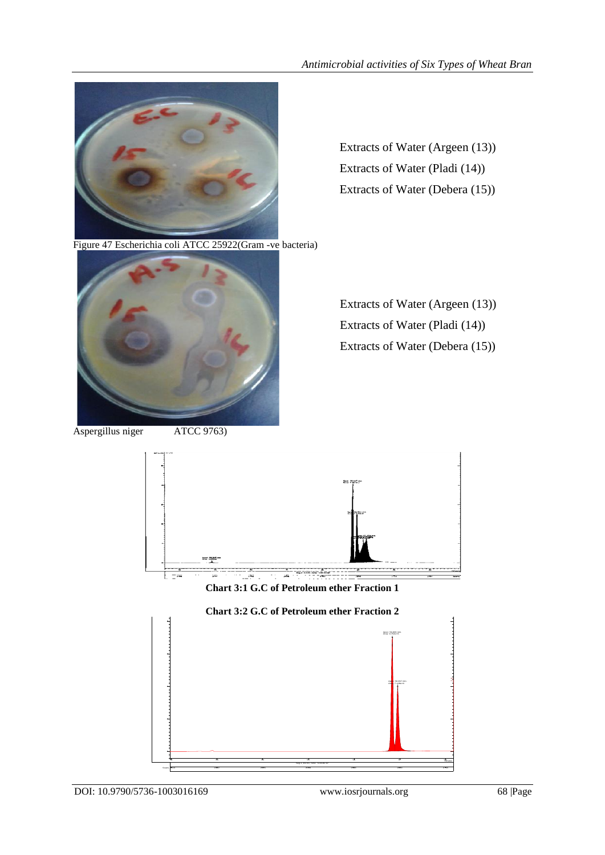

Extracts of Water (Argeen (13)) Extracts of Water (Pladi (14)) Extracts of Water (Debera (15))

Figure 47 Escherichia coli ATCC 25922(Gram -ve bacteria)



Aspergillus niger ATCC 9763)

Extracts of Water (Argeen (13)) Extracts of Water (Pladi (14)) Extracts of Water (Debera (15))



**Chart 3:1 G.C of Petroleum ether Fraction 1**